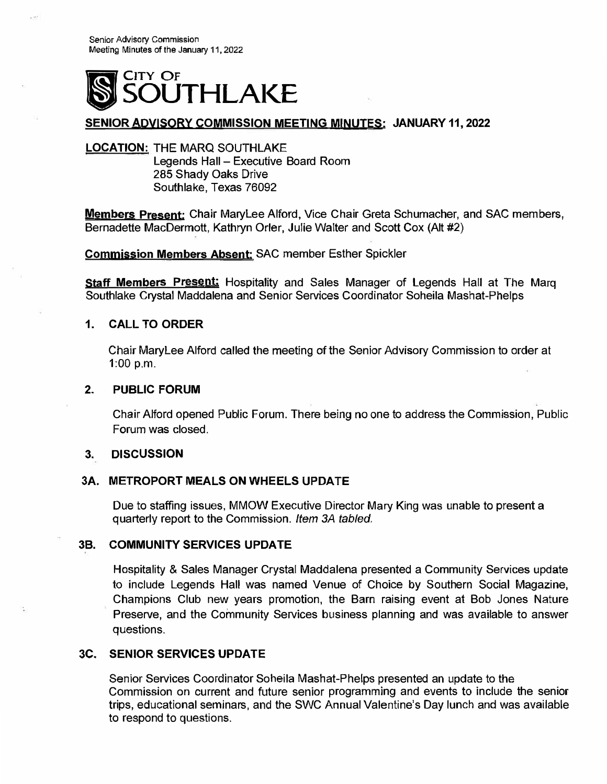

# **SENIOR AQYISORV COMMISSION MEETING MINUTES: JANUARY 11, 2022**

## **LOCATION:** THE MARO SOUTHLAKE Legends Hall - Executive Board Room 285 Shady Oaks Drive Southlake, Texas 76092

**Members Present:** Chair Marylee Alford, Vice Chair Greta Schumacher, and SAC members, Bernadette MacDermott, Kathryn Orler, Julie Walter and Scott Cox (Alt #2)

**Commjssion Members Absent:** SAC member Esther Spickler

**Staff Members Present:** Hospitality and Sales Manager of Legends Hall at The Marg Southlake Crystal Maddalena and Senior Services Coordinator Soheila Mashat-Phelps

#### **1.CALL TO ORDER**

Chair Marylee Alford called the meeting of the Senior Advisory Commission to order at 1:00 p.m.

#### **2.PUBLIC FORUM**

Chair Alford opened Public Forum. There being no one to address the Commission, Public Forum was closed.

#### **3. DISCUSSION**

#### **3A. METROPORT MEALS ON WHEELS UPDATE**

Due to staffing issues, MMOW Executive Director Mary King was unable to present a quarterly report to the Commission. *Item 3A tabled,*

#### **3B. COMMUNITY SERVICES UPDATE**

Hospitality & Sales Manager Crystal Maddalena presented a Community Services update to include Legends Hall was named Venue of Choice by Southern Social Magazine, Champions Club new years promotion, the Barn raising event at Bob Jones Nature Preserve, and the Community Services business planning and was available to answer questions.

### **3C. SENIOR SERVICES UPDATE**

Senior Services Coordinator Soheila Mashat-Phelps presented an update to the Commission on current and future senior programming and events to include the senior trips, educational seminars, and the SWC Annual Valentine's Day lunch and was available to respond to questions.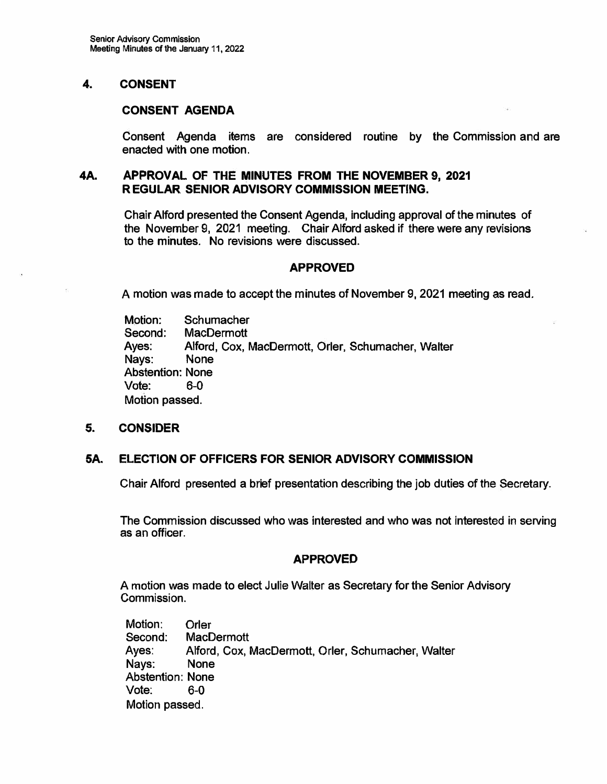# **4. CONSENT**

# **CONSENT AGENDA**

**Consent Agenda items are considered routine by the Commission and are enacted with one motion.**

# **4A. APPROVAL OF THE MINUTES FROM THE NOVEMBER 9, 2021 R EGULAR SENIOR ADVISORY COMMISSION MEETING.**

**Chair Alford presented the Consent Agenda, including approval of the minutes of the November 9, 2021 meeting. Chair Alford asked if there were any revisions to the minutes. No revisions were discussed.**

### **APPROVED**

**A motion was made to accept the minutes of November 9, 2021 meeting as read.** 

**Motion: Schumacher Second: MacDermott Ayes: Alford, Cox, MacDermott, Orler, Schumacher, Walter Nays: None Abstention: None Vote: 6-0 Motion passed.** 

#### **5.CONSIDER**

# **SA. ELECTION OF OFFICERS FOR SENIOR ADVISORY COMMISSION**

**Chair Alford presented a brief presentation describing the job duties of the Secretary.**

**The Commission discussed who was interested and who was not interested in serving as an officer.** 

# **APPROVED**

**A motion was made to elect Julie Walter as Secretary for the Senior Advisory Commission.** 

**Motion: Orler Second: MacDermott Ayes: Alford, Cox, MacDermott, Orler, Schumacher, Walter Nays: None Abstention: None Vote: 6-0 Motion passed.**